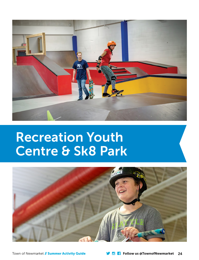

# Recreation Youth Centre & Sk8 Park

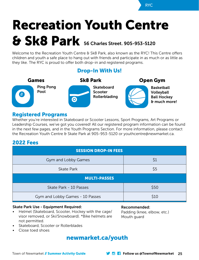# Recreation Youth Centre & Sk8 Park 56 Charles Street. 905-953-5120

Welcome to the Recreation Youth Centre & Sk8 Park, also known as the RYC! This Centre offers children and youth a safe place to hang out with friends and participate in as much or as little as they like. The RYC is proud to offer both drop-in and registered programs.

### Drop-In With Us!



### Registered Programs

Whether you're interested in Skateboard or Scooter Lessons, Sport Programs, Art Programs or Leadership Courses, we've got you covered! All our registered program information can be found in the next few pages, and in the Youth Programs Section. For more information, please contact the Recreation Youth Centre & Skate Park at 905-953-5120 or youthcentre@newmarket.ca.

## 2022 Fees

| <b>SESSION DROP-IN FEES</b>     |      |
|---------------------------------|------|
| Gym and Lobby Games             | \$1  |
| <b>Skate Park</b>               | \$5  |
| <b>MULTI-PASSES</b>             |      |
| Skate Park - 10 Passes          | \$50 |
| Gym and Lobby Games - 10 Passes | \$10 |

#### Skate Park Use - Equipment Required:

• Helmet (Skateboard, Scooter, Hockey with the cage/ visor removed, or Ski/Snowboard). \*Bike helmets are not permitted.

Recommended:

Padding (knee, elbow, etc.) Mouth guard

- Skateboard, Scooter or Rollerblades
- Close toed shoes

## newmarket.ca/youth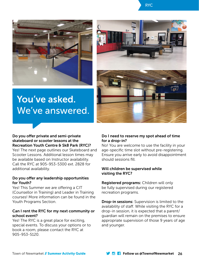



# You've asked. We've answered.



#### Do you offer private and semi-private skateboard or scooter lessons at the Recreation Youth Centre & Sk8 Park (RYC)?

Yes! The next page outlines our Skateboard and Scooter Lessons. Additional lesson times may be available based on Instructor availability. Call the RYC at 905-953-5300 ext. 2828 for additional availability.

#### Do you offer any leadership opportunities for Youth?

Yes! This Summer we are offering a CIT (Counsellor in Training) and Leader in Training courses! More information can be found in the Youth Programs Section.

#### Can I rent the RYC for my next community or school event?

Yes! The RYC is a great place for exciting, special events. To discuss your options or to book a room, please contact the RYC at 905-953-5120.

#### Do I need to reserve my spot ahead of time for a drop-in?

No! You are welcome to use the facility in your age-specific time slot without pre-registering. Ensure you arrive early to avoid disappointment should sessions fill.

#### Will children be supervised while visiting the RYC?

Registered programs: Children will only be fully supervised during our registered recreation programs.

Drop-in sessions: Supervision is limited to the availability of staff. While visiting the RYC for a drop-in session, it is expected that a parent/ guardian will remain on the premises to ensure appropriate supervision of those 9 years of age and younger.